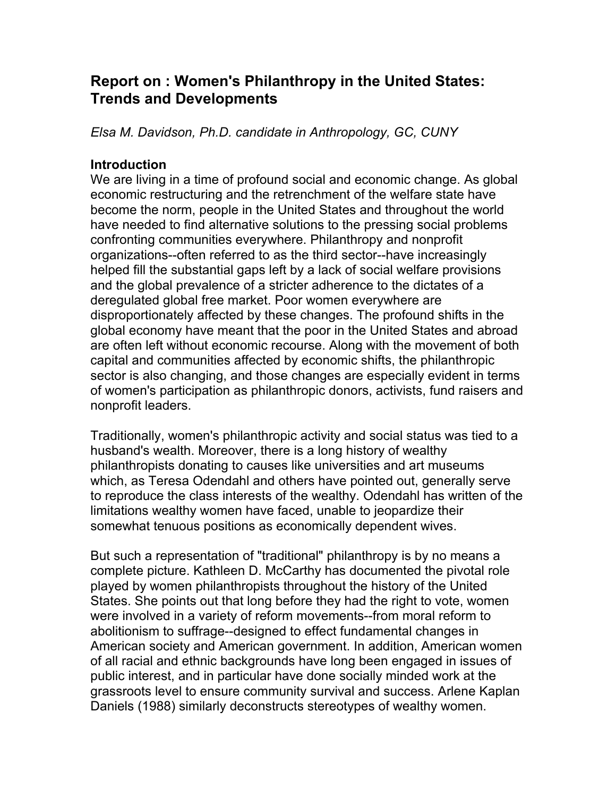# **Report on : Women's Philanthropy in the United States: Trends and Developments**

*Elsa M. Davidson, Ph.D. candidate in Anthropology, GC, CUNY*

## **Introduction**

We are living in a time of profound social and economic change. As global economic restructuring and the retrenchment of the welfare state have become the norm, people in the United States and throughout the world have needed to find alternative solutions to the pressing social problems confronting communities everywhere. Philanthropy and nonprofit organizations--often referred to as the third sector--have increasingly helped fill the substantial gaps left by a lack of social welfare provisions and the global prevalence of a stricter adherence to the dictates of a deregulated global free market. Poor women everywhere are disproportionately affected by these changes. The profound shifts in the global economy have meant that the poor in the United States and abroad are often left without economic recourse. Along with the movement of both capital and communities affected by economic shifts, the philanthropic sector is also changing, and those changes are especially evident in terms of women's participation as philanthropic donors, activists, fund raisers and nonprofit leaders.

Traditionally, women's philanthropic activity and social status was tied to a husband's wealth. Moreover, there is a long history of wealthy philanthropists donating to causes like universities and art museums which, as Teresa Odendahl and others have pointed out, generally serve to reproduce the class interests of the wealthy. Odendahl has written of the limitations wealthy women have faced, unable to jeopardize their somewhat tenuous positions as economically dependent wives.

But such a representation of "traditional" philanthropy is by no means a complete picture. Kathleen D. McCarthy has documented the pivotal role played by women philanthropists throughout the history of the United States. She points out that long before they had the right to vote, women were involved in a variety of reform movements--from moral reform to abolitionism to suffrage--designed to effect fundamental changes in American society and American government. In addition, American women of all racial and ethnic backgrounds have long been engaged in issues of public interest, and in particular have done socially minded work at the grassroots level to ensure community survival and success. Arlene Kaplan Daniels (1988) similarly deconstructs stereotypes of wealthy women.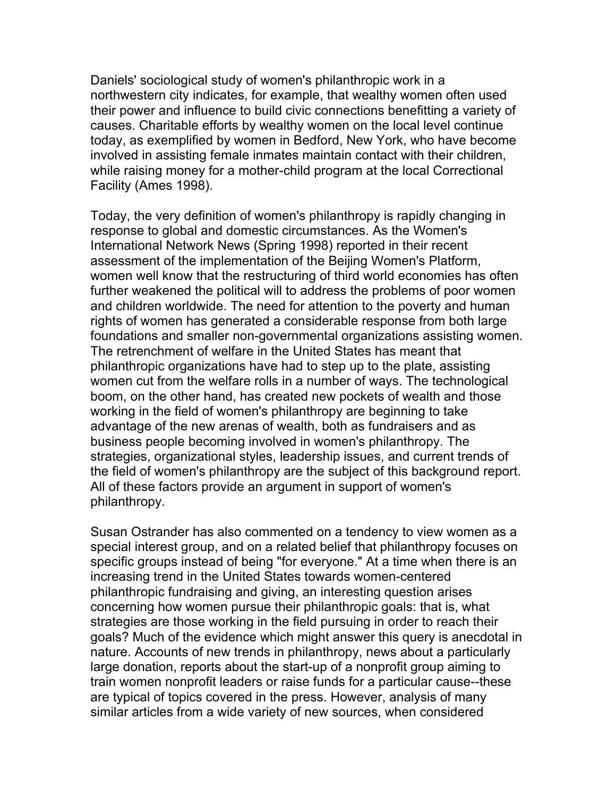Daniels' sociological study of women's philanthropic work in a northwestern city indicates, for example, that wealthy women often used their power and influence to build civic connections benefitting a variety of causes. Charitable efforts by wealthy women on the local level continue today, as exemplified by women in Bedford, New York, who have become involved in assisting female inmates maintain contact with their children, while raising money for a mother-child program at the local Correctional Facility (Ames 1998).

Today, the very definition of women's philanthropy is rapidly changing in response to global and domestic circumstances. As the Women's International Network News (Spring 1998) reported in their recent assessment of the implementation of the Beijing Women's Platform, women well know that the restructuring of third world economies has often further weakened the political will to address the problems of poor women and children worldwide. The need for attention to the poverty and human rights of women has generated a considerable response from both large foundations and smaller non-governmental organizations assisting women. The retrenchment of welfare in the United States has meant that philanthropic organizations have had to step up to the plate, assisting women cut from the welfare rolls in a number of ways. The technological boom, on the other hand, has created new pockets of wealth and those working in the field of women's philanthropy are beginning to take advantage of the new arenas of wealth, both as fundraisers and as business people becoming involved in women's philanthropy. The strategies, organizational styles, leadership issues, and current trends of the field of women's philanthropy are the subject of this background report. All of these factors provide an argument in support of women's philanthropy.

Susan Ostrander has also commented on a tendency to view women as a special interest group, and on a related belief that philanthropy focuses on specific groups instead of being "for everyone." At a time when there is an increasing trend in the United States towards women-centered philanthropic fundraising and giving, an interesting question arises concerning how women pursue their philanthropic goals: that is, what strategies are those working in the field pursuing in order to reach their goals? Much of the evidence which might answer this query is anecdotal in nature. Accounts of new trends in philanthropy, news about a particularly large donation, reports about the start-up of a nonprofit group aiming to train women nonprofit leaders or raise funds for a particular cause--these are typical of topics covered in the press. However, analysis of many similar articles from a wide variety of new sources, when considered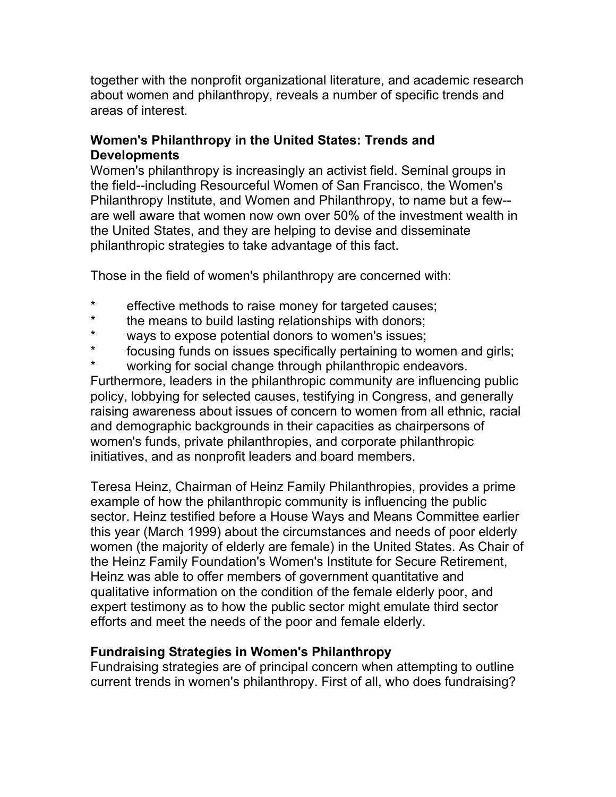together with the nonprofit organizational literature, and academic research about women and philanthropy, reveals a number of specific trends and areas of interest.

## **Women's Philanthropy in the United States: Trends and Developments**

Women's philanthropy is increasingly an activist field. Seminal groups in the field--including Resourceful Women of San Francisco, the Women's Philanthropy Institute, and Women and Philanthropy, to name but a few- are well aware that women now own over 50% of the investment wealth in the United States, and they are helping to devise and disseminate philanthropic strategies to take advantage of this fact.

Those in the field of women's philanthropy are concerned with:

- effective methods to raise money for targeted causes;
- \* the means to build lasting relationships with donors;<br>\* wave to expect potential donors to we man's issues;
- \* ways to expose potential donors to women's issues;
- focusing funds on issues specifically pertaining to women and girls;
- working for social change through philanthropic endeavors.

Furthermore, leaders in the philanthropic community are influencing public policy, lobbying for selected causes, testifying in Congress, and generally raising awareness about issues of concern to women from all ethnic, racial and demographic backgrounds in their capacities as chairpersons of women's funds, private philanthropies, and corporate philanthropic initiatives, and as nonprofit leaders and board members.

Teresa Heinz, Chairman of Heinz Family Philanthropies, provides a prime example of how the philanthropic community is influencing the public sector. Heinz testified before a House Ways and Means Committee earlier this year (March 1999) about the circumstances and needs of poor elderly women (the majority of elderly are female) in the United States. As Chair of the Heinz Family Foundation's Women's Institute for Secure Retirement, Heinz was able to offer members of government quantitative and qualitative information on the condition of the female elderly poor, and expert testimony as to how the public sector might emulate third sector efforts and meet the needs of the poor and female elderly.

## **Fundraising Strategies in Women's Philanthropy**

Fundraising strategies are of principal concern when attempting to outline current trends in women's philanthropy. First of all, who does fundraising?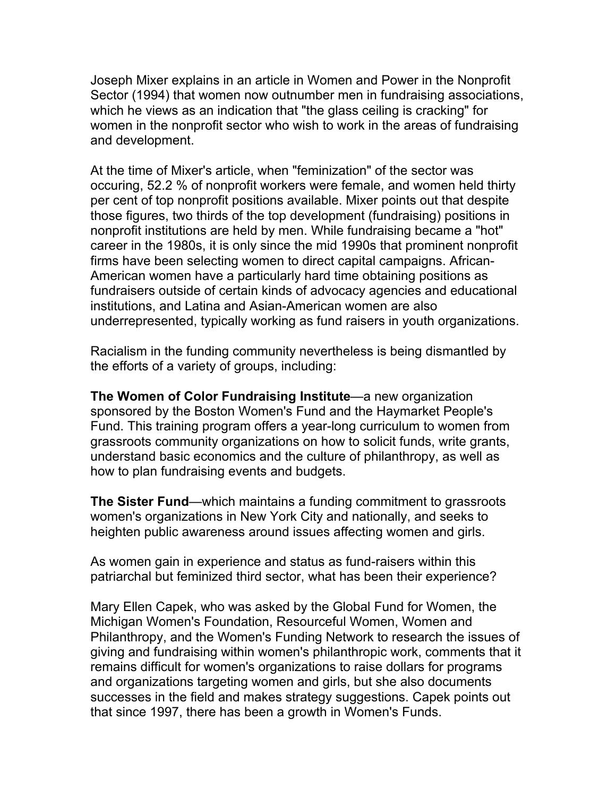Joseph Mixer explains in an article in Women and Power in the Nonprofit Sector (1994) that women now outnumber men in fundraising associations, which he views as an indication that "the glass ceiling is cracking" for women in the nonprofit sector who wish to work in the areas of fundraising and development.

At the time of Mixer's article, when "feminization" of the sector was occuring, 52.2 % of nonprofit workers were female, and women held thirty per cent of top nonprofit positions available. Mixer points out that despite those figures, two thirds of the top development (fundraising) positions in nonprofit institutions are held by men. While fundraising became a "hot" career in the 1980s, it is only since the mid 1990s that prominent nonprofit firms have been selecting women to direct capital campaigns. African-American women have a particularly hard time obtaining positions as fundraisers outside of certain kinds of advocacy agencies and educational institutions, and Latina and Asian-American women are also underrepresented, typically working as fund raisers in youth organizations.

Racialism in the funding community nevertheless is being dismantled by the efforts of a variety of groups, including:

**The Women of Color Fundraising Institute**—a new organization sponsored by the Boston Women's Fund and the Haymarket People's Fund. This training program offers a year-long curriculum to women from grassroots community organizations on how to solicit funds, write grants, understand basic economics and the culture of philanthropy, as well as how to plan fundraising events and budgets.

**The Sister Fund**—which maintains a funding commitment to grassroots women's organizations in New York City and nationally, and seeks to heighten public awareness around issues affecting women and girls.

As women gain in experience and status as fund-raisers within this patriarchal but feminized third sector, what has been their experience?

Mary Ellen Capek, who was asked by the Global Fund for Women, the Michigan Women's Foundation, Resourceful Women, Women and Philanthropy, and the Women's Funding Network to research the issues of giving and fundraising within women's philanthropic work, comments that it remains difficult for women's organizations to raise dollars for programs and organizations targeting women and girls, but she also documents successes in the field and makes strategy suggestions. Capek points out that since 1997, there has been a growth in Women's Funds.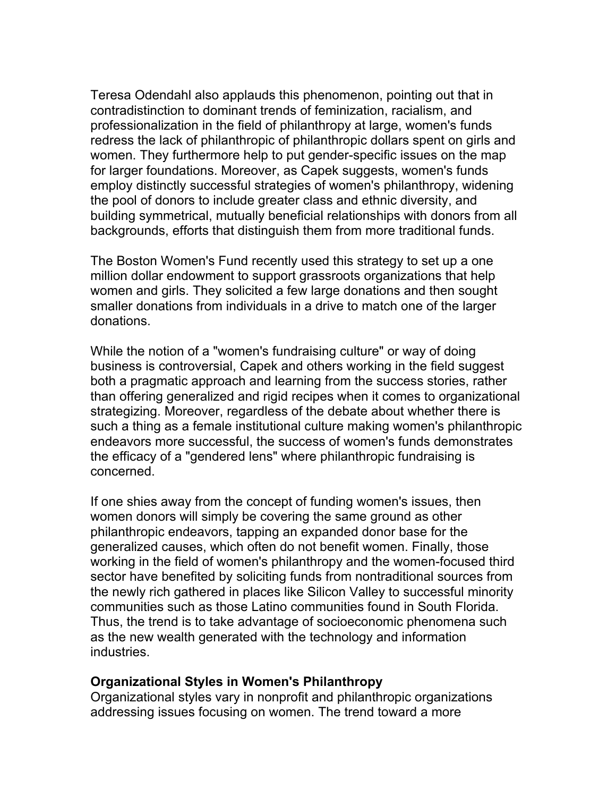Teresa Odendahl also applauds this phenomenon, pointing out that in contradistinction to dominant trends of feminization, racialism, and professionalization in the field of philanthropy at large, women's funds redress the lack of philanthropic of philanthropic dollars spent on girls and women. They furthermore help to put gender-specific issues on the map for larger foundations. Moreover, as Capek suggests, women's funds employ distinctly successful strategies of women's philanthropy, widening the pool of donors to include greater class and ethnic diversity, and building symmetrical, mutually beneficial relationships with donors from all backgrounds, efforts that distinguish them from more traditional funds.

The Boston Women's Fund recently used this strategy to set up a one million dollar endowment to support grassroots organizations that help women and girls. They solicited a few large donations and then sought smaller donations from individuals in a drive to match one of the larger donations.

While the notion of a "women's fundraising culture" or way of doing business is controversial, Capek and others working in the field suggest both a pragmatic approach and learning from the success stories, rather than offering generalized and rigid recipes when it comes to organizational strategizing. Moreover, regardless of the debate about whether there is such a thing as a female institutional culture making women's philanthropic endeavors more successful, the success of women's funds demonstrates the efficacy of a "gendered lens" where philanthropic fundraising is concerned.

If one shies away from the concept of funding women's issues, then women donors will simply be covering the same ground as other philanthropic endeavors, tapping an expanded donor base for the generalized causes, which often do not benefit women. Finally, those working in the field of women's philanthropy and the women-focused third sector have benefited by soliciting funds from nontraditional sources from the newly rich gathered in places like Silicon Valley to successful minority communities such as those Latino communities found in South Florida. Thus, the trend is to take advantage of socioeconomic phenomena such as the new wealth generated with the technology and information industries.

#### **Organizational Styles in Women's Philanthropy**

Organizational styles vary in nonprofit and philanthropic organizations addressing issues focusing on women. The trend toward a more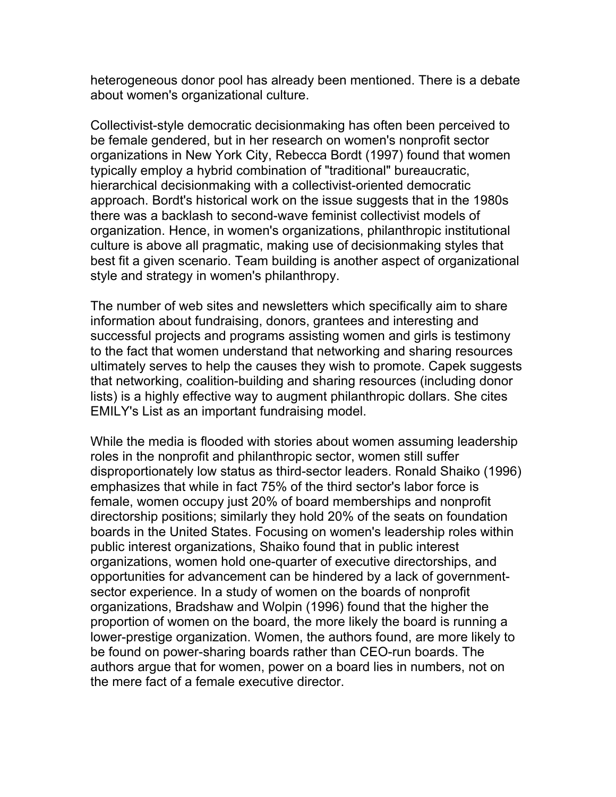heterogeneous donor pool has already been mentioned. There is a debate about women's organizational culture.

Collectivist-style democratic decisionmaking has often been perceived to be female gendered, but in her research on women's nonprofit sector organizations in New York City, Rebecca Bordt (1997) found that women typically employ a hybrid combination of "traditional" bureaucratic, hierarchical decisionmaking with a collectivist-oriented democratic approach. Bordt's historical work on the issue suggests that in the 1980s there was a backlash to second-wave feminist collectivist models of organization. Hence, in women's organizations, philanthropic institutional culture is above all pragmatic, making use of decisionmaking styles that best fit a given scenario. Team building is another aspect of organizational style and strategy in women's philanthropy.

The number of web sites and newsletters which specifically aim to share information about fundraising, donors, grantees and interesting and successful projects and programs assisting women and girls is testimony to the fact that women understand that networking and sharing resources ultimately serves to help the causes they wish to promote. Capek suggests that networking, coalition-building and sharing resources (including donor lists) is a highly effective way to augment philanthropic dollars. She cites EMILY's List as an important fundraising model.

While the media is flooded with stories about women assuming leadership roles in the nonprofit and philanthropic sector, women still suffer disproportionately low status as third-sector leaders. Ronald Shaiko (1996) emphasizes that while in fact 75% of the third sector's labor force is female, women occupy just 20% of board memberships and nonprofit directorship positions; similarly they hold 20% of the seats on foundation boards in the United States. Focusing on women's leadership roles within public interest organizations, Shaiko found that in public interest organizations, women hold one-quarter of executive directorships, and opportunities for advancement can be hindered by a lack of governmentsector experience. In a study of women on the boards of nonprofit organizations, Bradshaw and Wolpin (1996) found that the higher the proportion of women on the board, the more likely the board is running a lower-prestige organization. Women, the authors found, are more likely to be found on power-sharing boards rather than CEO-run boards. The authors argue that for women, power on a board lies in numbers, not on the mere fact of a female executive director.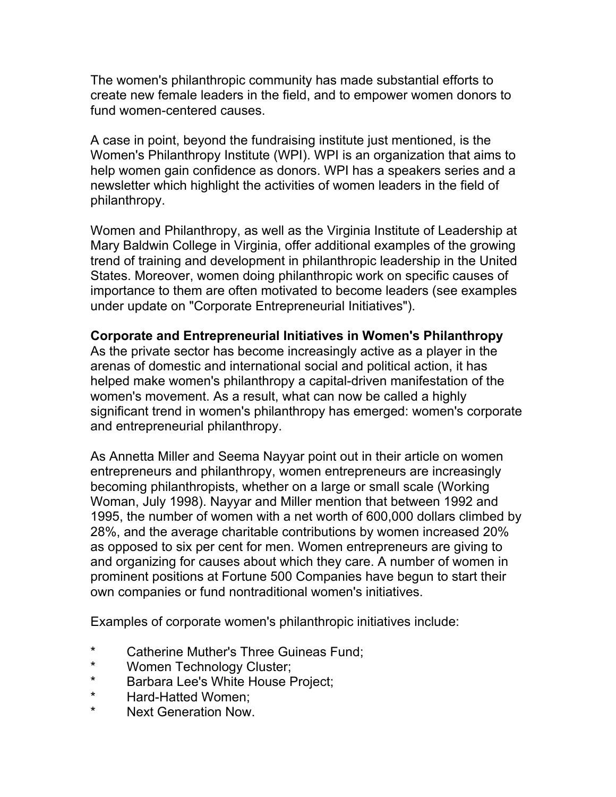The women's philanthropic community has made substantial efforts to create new female leaders in the field, and to empower women donors to fund women-centered causes.

A case in point, beyond the fundraising institute just mentioned, is the Women's Philanthropy Institute (WPI). WPI is an organization that aims to help women gain confidence as donors. WPI has a speakers series and a newsletter which highlight the activities of women leaders in the field of philanthropy.

Women and Philanthropy, as well as the Virginia Institute of Leadership at Mary Baldwin College in Virginia, offer additional examples of the growing trend of training and development in philanthropic leadership in the United States. Moreover, women doing philanthropic work on specific causes of importance to them are often motivated to become leaders (see examples under update on "Corporate Entrepreneurial Initiatives").

### **Corporate and Entrepreneurial Initiatives in Women's Philanthropy**

As the private sector has become increasingly active as a player in the arenas of domestic and international social and political action, it has helped make women's philanthropy a capital-driven manifestation of the women's movement. As a result, what can now be called a highly significant trend in women's philanthropy has emerged: women's corporate and entrepreneurial philanthropy.

As Annetta Miller and Seema Nayyar point out in their article on women entrepreneurs and philanthropy, women entrepreneurs are increasingly becoming philanthropists, whether on a large or small scale (Working Woman, July 1998). Nayyar and Miller mention that between 1992 and 1995, the number of women with a net worth of 600,000 dollars climbed by 28%, and the average charitable contributions by women increased 20% as opposed to six per cent for men. Women entrepreneurs are giving to and organizing for causes about which they care. A number of women in prominent positions at Fortune 500 Companies have begun to start their own companies or fund nontraditional women's initiatives.

Examples of corporate women's philanthropic initiatives include:

- \* Catherine Muther's Three Guineas Fund;
- \* Women Technology Cluster;
- \* Barbara Lee's White House Project;
- \* Hard-Hatted Women;<br>\* Next Coneration New
- Next Generation Now.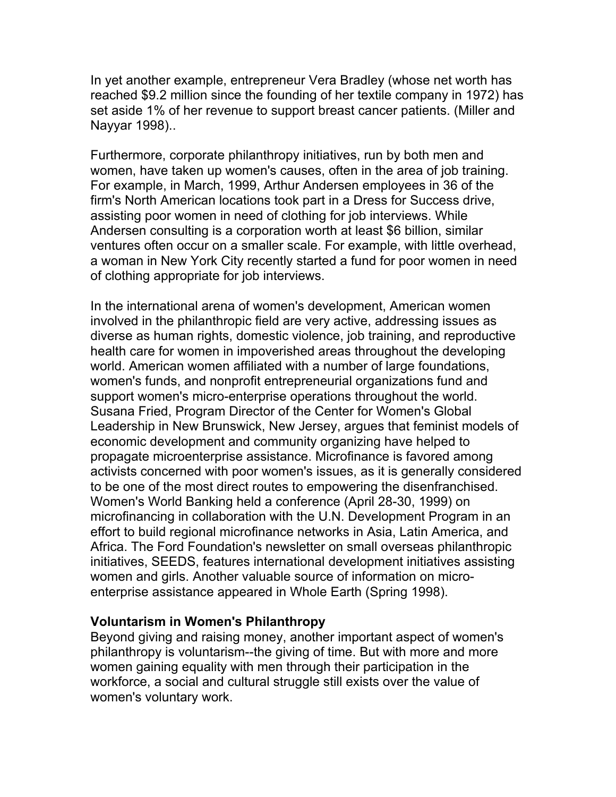In yet another example, entrepreneur Vera Bradley (whose net worth has reached \$9.2 million since the founding of her textile company in 1972) has set aside 1% of her revenue to support breast cancer patients. (Miller and Nayyar 1998)..

Furthermore, corporate philanthropy initiatives, run by both men and women, have taken up women's causes, often in the area of job training. For example, in March, 1999, Arthur Andersen employees in 36 of the firm's North American locations took part in a Dress for Success drive, assisting poor women in need of clothing for job interviews. While Andersen consulting is a corporation worth at least \$6 billion, similar ventures often occur on a smaller scale. For example, with little overhead, a woman in New York City recently started a fund for poor women in need of clothing appropriate for job interviews.

In the international arena of women's development, American women involved in the philanthropic field are very active, addressing issues as diverse as human rights, domestic violence, job training, and reproductive health care for women in impoverished areas throughout the developing world. American women affiliated with a number of large foundations, women's funds, and nonprofit entrepreneurial organizations fund and support women's micro-enterprise operations throughout the world. Susana Fried, Program Director of the Center for Women's Global Leadership in New Brunswick, New Jersey, argues that feminist models of economic development and community organizing have helped to propagate microenterprise assistance. Microfinance is favored among activists concerned with poor women's issues, as it is generally considered to be one of the most direct routes to empowering the disenfranchised. Women's World Banking held a conference (April 28-30, 1999) on microfinancing in collaboration with the U.N. Development Program in an effort to build regional microfinance networks in Asia, Latin America, and Africa. The Ford Foundation's newsletter on small overseas philanthropic initiatives, SEEDS, features international development initiatives assisting women and girls. Another valuable source of information on microenterprise assistance appeared in Whole Earth (Spring 1998).

### **Voluntarism in Women's Philanthropy**

Beyond giving and raising money, another important aspect of women's philanthropy is voluntarism--the giving of time. But with more and more women gaining equality with men through their participation in the workforce, a social and cultural struggle still exists over the value of women's voluntary work.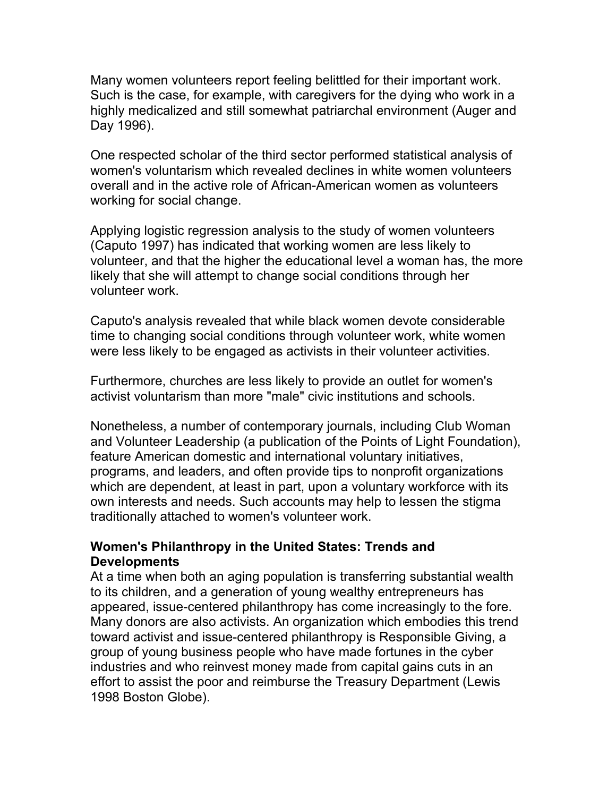Many women volunteers report feeling belittled for their important work. Such is the case, for example, with caregivers for the dying who work in a highly medicalized and still somewhat patriarchal environment (Auger and Day 1996).

One respected scholar of the third sector performed statistical analysis of women's voluntarism which revealed declines in white women volunteers overall and in the active role of African-American women as volunteers working for social change.

Applying logistic regression analysis to the study of women volunteers (Caputo 1997) has indicated that working women are less likely to volunteer, and that the higher the educational level a woman has, the more likely that she will attempt to change social conditions through her volunteer work.

Caputo's analysis revealed that while black women devote considerable time to changing social conditions through volunteer work, white women were less likely to be engaged as activists in their volunteer activities.

Furthermore, churches are less likely to provide an outlet for women's activist voluntarism than more "male" civic institutions and schools.

Nonetheless, a number of contemporary journals, including Club Woman and Volunteer Leadership (a publication of the Points of Light Foundation), feature American domestic and international voluntary initiatives, programs, and leaders, and often provide tips to nonprofit organizations which are dependent, at least in part, upon a voluntary workforce with its own interests and needs. Such accounts may help to lessen the stigma traditionally attached to women's volunteer work.

## **Women's Philanthropy in the United States: Trends and Developments**

At a time when both an aging population is transferring substantial wealth to its children, and a generation of young wealthy entrepreneurs has appeared, issue-centered philanthropy has come increasingly to the fore. Many donors are also activists. An organization which embodies this trend toward activist and issue-centered philanthropy is Responsible Giving, a group of young business people who have made fortunes in the cyber industries and who reinvest money made from capital gains cuts in an effort to assist the poor and reimburse the Treasury Department (Lewis 1998 Boston Globe).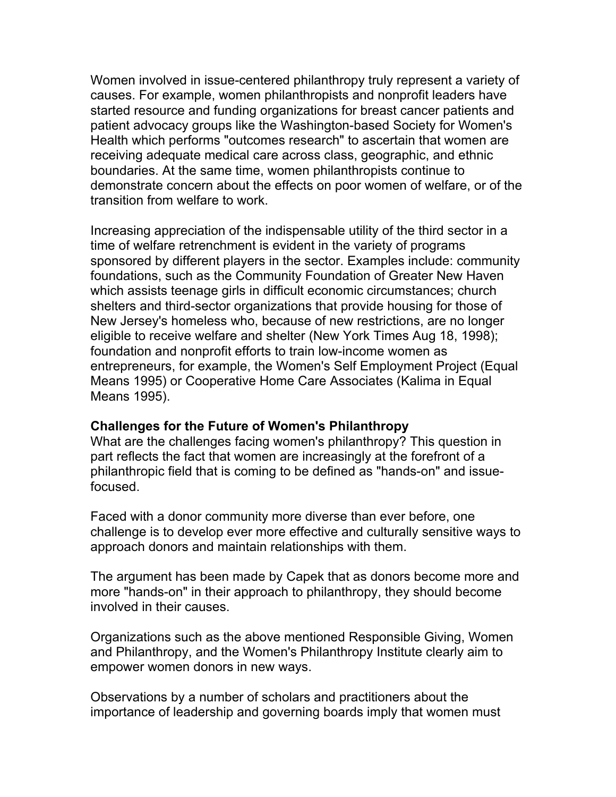Women involved in issue-centered philanthropy truly represent a variety of causes. For example, women philanthropists and nonprofit leaders have started resource and funding organizations for breast cancer patients and patient advocacy groups like the Washington-based Society for Women's Health which performs "outcomes research" to ascertain that women are receiving adequate medical care across class, geographic, and ethnic boundaries. At the same time, women philanthropists continue to demonstrate concern about the effects on poor women of welfare, or of the transition from welfare to work.

Increasing appreciation of the indispensable utility of the third sector in a time of welfare retrenchment is evident in the variety of programs sponsored by different players in the sector. Examples include: community foundations, such as the Community Foundation of Greater New Haven which assists teenage girls in difficult economic circumstances; church shelters and third-sector organizations that provide housing for those of New Jersey's homeless who, because of new restrictions, are no longer eligible to receive welfare and shelter (New York Times Aug 18, 1998); foundation and nonprofit efforts to train low-income women as entrepreneurs, for example, the Women's Self Employment Project (Equal Means 1995) or Cooperative Home Care Associates (Kalima in Equal Means 1995).

### **Challenges for the Future of Women's Philanthropy**

What are the challenges facing women's philanthropy? This question in part reflects the fact that women are increasingly at the forefront of a philanthropic field that is coming to be defined as "hands-on" and issuefocused.

Faced with a donor community more diverse than ever before, one challenge is to develop ever more effective and culturally sensitive ways to approach donors and maintain relationships with them.

The argument has been made by Capek that as donors become more and more "hands-on" in their approach to philanthropy, they should become involved in their causes.

Organizations such as the above mentioned Responsible Giving, Women and Philanthropy, and the Women's Philanthropy Institute clearly aim to empower women donors in new ways.

Observations by a number of scholars and practitioners about the importance of leadership and governing boards imply that women must